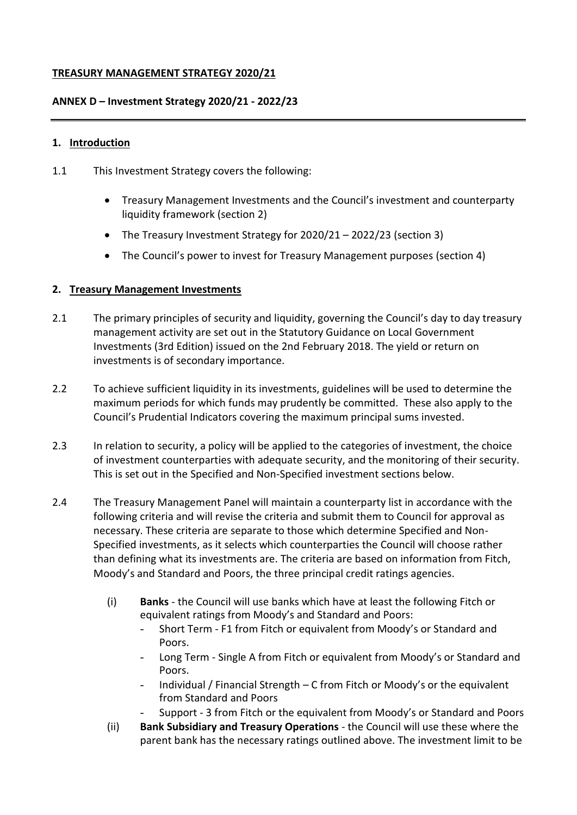## **TREASURY MANAGEMENT STRATEGY 2020/21**

## **ANNEX D – Investment Strategy 2020/21 - 2022/23**

#### **1. Introduction**

- 1.1 This Investment Strategy covers the following:
	- Treasury Management Investments and the Council's investment and counterparty liquidity framework (section 2)
	- The Treasury Investment Strategy for 2020/21 2022/23 (section 3)
	- The Council's power to invest for Treasury Management purposes (section 4)

## **2. Treasury Management Investments**

- 2.1 The primary principles of security and liquidity, governing the Council's day to day treasury management activity are set out in the Statutory Guidance on Local Government Investments (3rd Edition) issued on the 2nd February 2018. The yield or return on investments is of secondary importance.
- 2.2 To achieve sufficient liquidity in its investments, guidelines will be used to determine the maximum periods for which funds may prudently be committed. These also apply to the Council's Prudential Indicators covering the maximum principal sums invested.
- 2.3 In relation to security, a policy will be applied to the categories of investment, the choice of investment counterparties with adequate security, and the monitoring of their security. This is set out in the Specified and Non-Specified investment sections below.
- 2.4 The Treasury Management Panel will maintain a counterparty list in accordance with the following criteria and will revise the criteria and submit them to Council for approval as necessary. These criteria are separate to those which determine Specified and Non-Specified investments, as it selects which counterparties the Council will choose rather than defining what its investments are. The criteria are based on information from Fitch, Moody's and Standard and Poors, the three principal credit ratings agencies.
	- (i) **Banks** the Council will use banks which have at least the following Fitch or equivalent ratings from Moody's and Standard and Poors:
		- Short Term F1 from Fitch or equivalent from Moody's or Standard and Poors.
		- Long Term Single A from Fitch or equivalent from Moody's or Standard and Poors.
		- Individual / Financial Strength C from Fitch or Moody's or the equivalent from Standard and Poors
			- Support 3 from Fitch or the equivalent from Moody's or Standard and Poors
	- (ii) **Bank Subsidiary and Treasury Operations** the Council will use these where the parent bank has the necessary ratings outlined above. The investment limit to be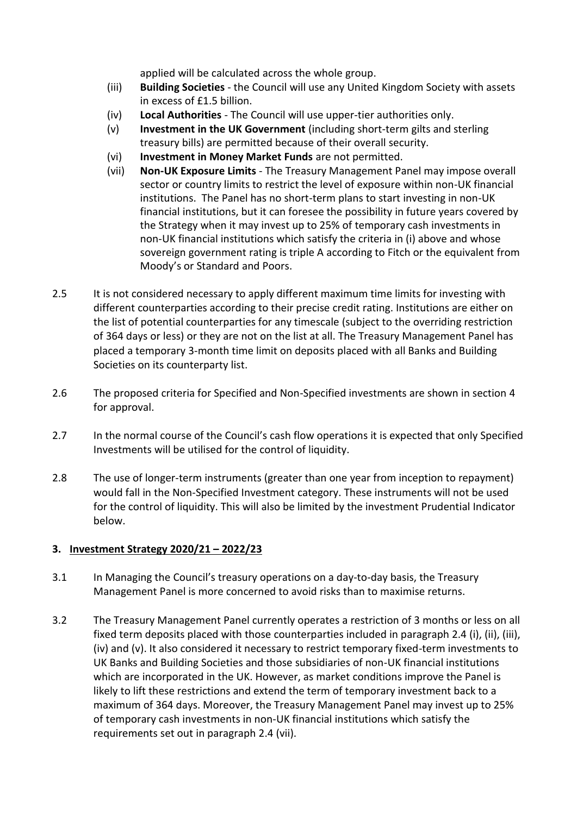applied will be calculated across the whole group.

- (iii) **Building Societies** the Council will use any United Kingdom Society with assets in excess of £1.5 billion.
- (iv) **Local Authorities**  The Council will use upper-tier authorities only.
- (v) **Investment in the UK Government** (including short-term gilts and sterling treasury bills) are permitted because of their overall security.
- (vi) **Investment in Money Market Funds** are not permitted.
- (vii) **Non-UK Exposure Limits**  The Treasury Management Panel may impose overall sector or country limits to restrict the level of exposure within non-UK financial institutions. The Panel has no short-term plans to start investing in non-UK financial institutions, but it can foresee the possibility in future years covered by the Strategy when it may invest up to 25% of temporary cash investments in non-UK financial institutions which satisfy the criteria in (i) above and whose sovereign government rating is triple A according to Fitch or the equivalent from Moody's or Standard and Poors.
- 2.5 It is not considered necessary to apply different maximum time limits for investing with different counterparties according to their precise credit rating. Institutions are either on the list of potential counterparties for any timescale (subject to the overriding restriction of 364 days or less) or they are not on the list at all. The Treasury Management Panel has placed a temporary 3-month time limit on deposits placed with all Banks and Building Societies on its counterparty list.
- 2.6 The proposed criteria for Specified and Non-Specified investments are shown in section 4 for approval.
- 2.7 In the normal course of the Council's cash flow operations it is expected that only Specified Investments will be utilised for the control of liquidity.
- 2.8 The use of longer-term instruments (greater than one year from inception to repayment) would fall in the Non-Specified Investment category. These instruments will not be used for the control of liquidity. This will also be limited by the investment Prudential Indicator below.

# **3. Investment Strategy 2020/21 – 2022/23**

- 3.1 In Managing the Council's treasury operations on a day-to-day basis, the Treasury Management Panel is more concerned to avoid risks than to maximise returns.
- 3.2 The Treasury Management Panel currently operates a restriction of 3 months or less on all fixed term deposits placed with those counterparties included in paragraph 2.4 (i), (ii), (iii), (iv) and (v). It also considered it necessary to restrict temporary fixed-term investments to UK Banks and Building Societies and those subsidiaries of non-UK financial institutions which are incorporated in the UK. However, as market conditions improve the Panel is likely to lift these restrictions and extend the term of temporary investment back to a maximum of 364 days. Moreover, the Treasury Management Panel may invest up to 25% of temporary cash investments in non-UK financial institutions which satisfy the requirements set out in paragraph 2.4 (vii).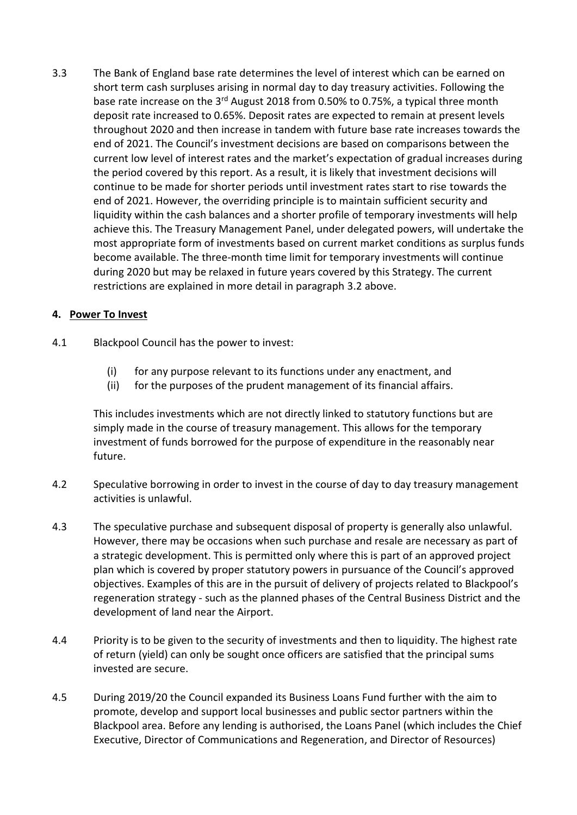3.3 The Bank of England base rate determines the level of interest which can be earned on short term cash surpluses arising in normal day to day treasury activities. Following the base rate increase on the 3rd August 2018 from 0.50% to 0.75%, a typical three month deposit rate increased to 0.65%. Deposit rates are expected to remain at present levels throughout 2020 and then increase in tandem with future base rate increases towards the end of 2021. The Council's investment decisions are based on comparisons between the current low level of interest rates and the market's expectation of gradual increases during the period covered by this report. As a result, it is likely that investment decisions will continue to be made for shorter periods until investment rates start to rise towards the end of 2021. However, the overriding principle is to maintain sufficient security and liquidity within the cash balances and a shorter profile of temporary investments will help achieve this. The Treasury Management Panel, under delegated powers, will undertake the most appropriate form of investments based on current market conditions as surplus funds become available. The three-month time limit for temporary investments will continue during 2020 but may be relaxed in future years covered by this Strategy. The current restrictions are explained in more detail in paragraph 3.2 above.

## **4. Power To Invest**

- 4.1 Blackpool Council has the power to invest:
	- (i) for any purpose relevant to its functions under any enactment, and
	- (ii) for the purposes of the prudent management of its financial affairs.

This includes investments which are not directly linked to statutory functions but are simply made in the course of treasury management. This allows for the temporary investment of funds borrowed for the purpose of expenditure in the reasonably near future.

- 4.2 Speculative borrowing in order to invest in the course of day to day treasury management activities is unlawful.
- 4.3 The speculative purchase and subsequent disposal of property is generally also unlawful. However, there may be occasions when such purchase and resale are necessary as part of a strategic development. This is permitted only where this is part of an approved project plan which is covered by proper statutory powers in pursuance of the Council's approved objectives. Examples of this are in the pursuit of delivery of projects related to Blackpool's regeneration strategy - such as the planned phases of the Central Business District and the development of land near the Airport.
- 4.4 Priority is to be given to the security of investments and then to liquidity. The highest rate of return (yield) can only be sought once officers are satisfied that the principal sums invested are secure.
- 4.5 During 2019/20 the Council expanded its Business Loans Fund further with the aim to promote, develop and support local businesses and public sector partners within the Blackpool area. Before any lending is authorised, the Loans Panel (which includes the Chief Executive, Director of Communications and Regeneration, and Director of Resources)